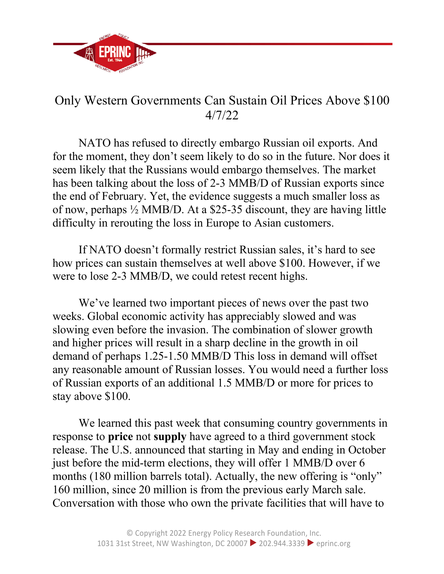

## Only Western Governments Can Sustain Oil Prices Above \$100 4/7/22

NATO has refused to directly embargo Russian oil exports. And for the moment, they don't seem likely to do so in the future. Nor does it seem likely that the Russians would embargo themselves. The market has been talking about the loss of 2-3 MMB/D of Russian exports since the end of February. Yet, the evidence suggests a much smaller loss as of now, perhaps ½ MMB/D. At a \$25-35 discount, they are having little difficulty in rerouting the loss in Europe to Asian customers.

If NATO doesn't formally restrict Russian sales, it's hard to see how prices can sustain themselves at well above \$100. However, if we were to lose 2-3 MMB/D, we could retest recent highs.

We've learned two important pieces of news over the past two weeks. Global economic activity has appreciably slowed and was slowing even before the invasion. The combination of slower growth and higher prices will result in a sharp decline in the growth in oil demand of perhaps 1.25-1.50 MMB/D This loss in demand will offset any reasonable amount of Russian losses. You would need a further loss of Russian exports of an additional 1.5 MMB/D or more for prices to stay above \$100.

We learned this past week that consuming country governments in response to **price** not **supply** have agreed to a third government stock release. The U.S. announced that starting in May and ending in October just before the mid-term elections, they will offer 1 MMB/D over 6 months (180 million barrels total). Actually, the new offering is "only" 160 million, since 20 million is from the previous early March sale. Conversation with those who own the private facilities that will have to